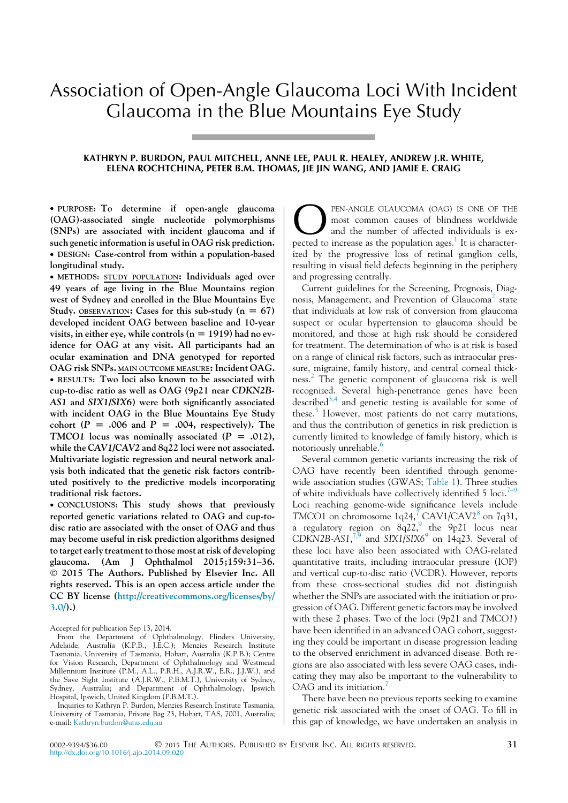# Association of Open-Angle Glaucoma Loci With Incident Glaucoma in the Blue Mountains Eye Study

#### KATHRYN P. BURDON, PAUL MITCHELL, ANNE LEE, PAUL R. HEALEY, ANDREW J.R. WHITE, ELENA ROCHTCHINA, PETER B.M. THOMAS, JIE JIN WANG, AND JAMIE E. CRAIG

- PURPOSE: To determine if open-angle glaucoma (OAG)-associated single nucleotide polymorphisms (SNPs) are associated with incident glaucoma and if such genetic information is useful in OAG risk prediction. - DESIGN: Case-control from within a population-based longitudinal study.

• METHODS: **STUDY POPULATION: Individuals aged over** 49 years of age living in the Blue Mountains region west of Sydney and enrolled in the Blue Mountains Eye Study. OBSERVATION: Cases for this sub-study  $(n = 67)$ developed incident OAG between baseline and 10-year visits, in either eye, while controls ( $n = 1919$ ) had no evidence for OAG at any visit. All participants had an ocular examination and DNA genotyped for reported OAG risk SNPs. MAIN OUTCOME MEASURE: Incident OAG. - RESULTS: Two loci also known to be associated with cup-to-disc ratio as well as OAG (9p21 near CDKN2B-AS1 and SIX1/SIX6) were both significantly associated with incident OAG in the Blue Mountains Eye Study cohort ( $P = .006$  and  $P = .004$ , respectively). The TMCO1 locus was nominally associated  $(P = .012)$ , while the CAV1/CAV2 and 8q22 loci were not associated. Multivariate logistic regression and neural network analysis both indicated that the genetic risk factors contributed positively to the predictive models incorporating traditional risk factors.

- CONCLUSIONS: This study shows that previously reported genetic variations related to OAG and cup-todisc ratio are associated with the onset of OAG and thus may become useful in risk prediction algorithms designed to target early treatment to those most at risk of developing glaucoma. (Am J Ophthalmol 2015;159:31–36. - 2015 The Authors. Published by Elsevier Inc. All rights reserved. This is an open access article under the CC BY license (http://creativecommons.org/licenses/by/  $3.0/).$ 

Inquiries to Kathryn P. Burdon, Menzies Research Institute Tasmania, University of Tasmania, Private Bag 23, Hobart, TAS, 7001, Australia; e-mail: Kathryn.burdon@utas.edu.au

**OPEN-ANGLE GLAUCOMA (OAG) IS ONE OF THE** most common causes of blindness worldwide and the number of affected individuals is expected to increase as the population ages.<sup>1</sup> It is charactermost common causes of blindness worldwide and the number of affected individuals is exized by the progressive loss of retinal ganglion cells, resulting in visual field defects beginning in the periphery and progressing centrally.

Current guidelines for the Screening, Prognosis, Diagnosis, Management, and Prevention of Glaucoma<sup>2</sup> state that individuals at low risk of conversion from glaucoma suspect or ocular hypertension to glaucoma should be monitored, and those at high risk should be considered for treatment. The determination of who is at risk is based on a range of clinical risk factors, such as intraocular pressure, migraine, family history, and central corneal thickness.<sup>2</sup> The genetic component of glaucoma risk is well recognized. Several high-penetrance genes have been described<sup>3,4</sup> and genetic testing is available for some of these.<sup>5</sup> However, most patients do not carry mutations, and thus the contribution of genetics in risk prediction is currently limited to knowledge of family history, which is notoriously unreliable.<sup>6</sup>

Several common genetic variants increasing the risk of OAG have recently been identified through genomewide association studies (GWAS; Table 1). Three studies of white individuals have collectively identified 5 loci.<sup>7–9</sup> Loci reaching genome-wide significance levels include TMCO1 on chromosome  $1q24$ ,<sup>7</sup> CAV1/CAV2<sup>8</sup> on 7q31, a regulatory region on  $8a22$ , the 9p21 locus near CDKN2B-AS1,<sup>7,9</sup> and SIX1/SIX6<sup>9</sup> on 14q23. Several of these loci have also been associated with OAG-related quantitative traits, including intraocular pressure (IOP) and vertical cup-to-disc ratio (VCDR). However, reports from these cross-sectional studies did not distinguish whether the SNPs are associated with the initiation or progression of OAG. Different genetic factors may be involved with these 2 phases. Two of the loci (9p21 and TMCO1) have been identified in an advanced OAG cohort, suggesting they could be important in disease progression leading to the observed enrichment in advanced disease. Both regions are also associated with less severe OAG cases, indicating they may also be important to the vulnerability to OAG and its initiation.<sup>7</sup>

There have been no previous reports seeking to examine genetic risk associated with the onset of OAG. To fill in this gap of knowledge, we have undertaken an analysis in

Accepted for publication Sep 13, 2014.

From the Department of Ophthalmology, Flinders University, Adelaide, Australia (K.P.B., J.E.C.); Menzies Research Institute Tasmania, University of Tasmania, Hobart, Australia (K.P.B.); Centre for Vision Research, Department of Ophthalmology and Westmead Millennium Institute (P.M., A.L., P.R.H., A.J.R.W., E.R., J.J.W.), and the Save Sight Institute (A.J.R.W., P.B.M.T.), University of Sydney, Sydney, Australia; and Department of Ophthalmology, Ipswich Hospital, Ipswich, United Kingdom (P.B.M.T.).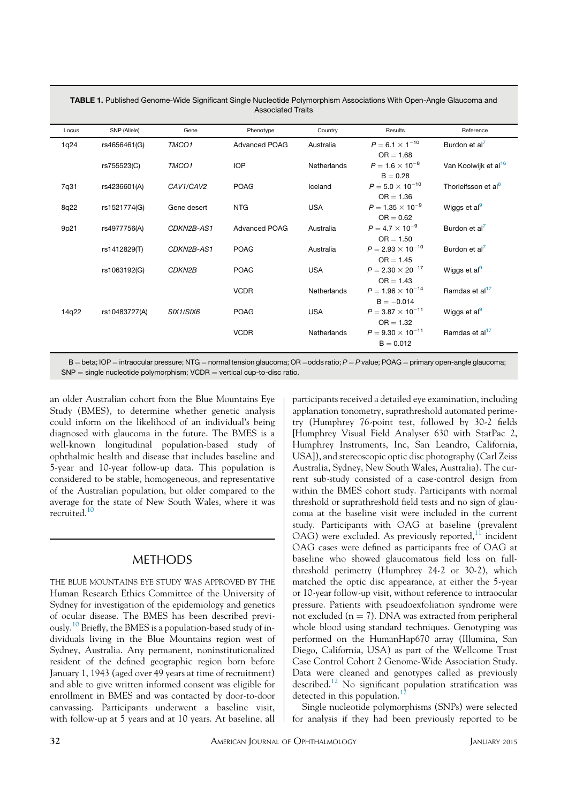|       | Association Trails |             |                      |             |                            |                                  |  |  |  |  |
|-------|--------------------|-------------|----------------------|-------------|----------------------------|----------------------------------|--|--|--|--|
| Locus | SNP (Allele)       | Gene        | Phenotype            | Country     | Results                    | Reference                        |  |  |  |  |
| 1q24  | rs4656461(G)       | TMCO1       | <b>Advanced POAG</b> | Australia   | $P = 6.1 \times 1^{-10}$   | Burdon et al <sup>7</sup>        |  |  |  |  |
|       |                    |             |                      |             | $OR = 1.68$                |                                  |  |  |  |  |
|       | rs755523(C)        | TMCO1       | <b>IOP</b>           | Netherlands | $P = 1.6 \times 10^{-8}$   | Van Koolwijk et al <sup>16</sup> |  |  |  |  |
|       |                    |             |                      |             | $B = 0.28$                 |                                  |  |  |  |  |
| 7q31  | rs4236601(A)       | CAV1/CAV2   | <b>POAG</b>          | Iceland     | $P = 5.0 \times 10^{-10}$  | Thorleifsson et al <sup>8</sup>  |  |  |  |  |
|       |                    |             |                      |             | $OR = 1.36$                |                                  |  |  |  |  |
| 8q22  | rs1521774(G)       | Gene desert | <b>NTG</b>           | <b>USA</b>  | $P = 1.35 \times 10^{-9}$  | Wiggs et al <sup>9</sup>         |  |  |  |  |
|       |                    |             |                      |             | $OR = 0.62$                |                                  |  |  |  |  |
| 9p21  | rs4977756(A)       | CDKN2B-AS1  | <b>Advanced POAG</b> | Australia   | $P = 4.7 \times 10^{-9}$   | Burdon et al <sup>7</sup>        |  |  |  |  |
|       |                    |             |                      |             | $OR = 1.50$                |                                  |  |  |  |  |
|       | rs1412829(T)       | CDKN2B-AS1  | <b>POAG</b>          | Australia   | $P = 2.93 \times 10^{-10}$ | Burdon et al'                    |  |  |  |  |
|       |                    |             |                      |             | $OR = 1.45$                |                                  |  |  |  |  |
|       | rs1063192(G)       | CDKN2B      | <b>POAG</b>          | <b>USA</b>  | $P = 2.30 \times 20^{-17}$ | Wiggs et al <sup>9</sup>         |  |  |  |  |
|       |                    |             |                      |             | $OR = 1.43$                |                                  |  |  |  |  |
|       |                    |             | <b>VCDR</b>          | Netherlands | $P = 1.96 \times 10^{-14}$ | Ramdas et al <sup>17</sup>       |  |  |  |  |
|       |                    |             |                      |             | $B = -0.014$               |                                  |  |  |  |  |
| 14q22 | rs10483727(A)      | SIX1/SIX6   | <b>POAG</b>          | <b>USA</b>  | $P = 3.87 \times 10^{-11}$ | Wiggs et al <sup>9</sup>         |  |  |  |  |
|       |                    |             |                      |             | $OR = 1.32$                |                                  |  |  |  |  |
|       |                    |             | <b>VCDR</b>          | Netherlands | $P = 9.30 \times 10^{-11}$ | Ramdas et al <sup>17</sup>       |  |  |  |  |
|       |                    |             |                      |             | $B = 0.012$                |                                  |  |  |  |  |
|       |                    |             |                      |             |                            |                                  |  |  |  |  |

TABLE 1. Published Genome-Wide Significant Single Nucleotide Polymorphism Associations With Open-Angle Glaucoma and Associated Traits

B = beta: IOP = intraocular pressure; NTG = normal tension glaucoma; OR = odds ratio; *P* = *P* value; POAG = primary open-angle glaucoma;  $SNP =$  single nucleotide polymorphism;  $VCDR =$  vertical cup-to-disc ratio.

an older Australian cohort from the Blue Mountains Eye Study (BMES), to determine whether genetic analysis could inform on the likelihood of an individual's being diagnosed with glaucoma in the future. The BMES is a well-known longitudinal population-based study of ophthalmic health and disease that includes baseline and 5-year and 10-year follow-up data. This population is considered to be stable, homogeneous, and representative of the Australian population, but older compared to the average for the state of New South Wales, where it was recruited.<sup>10</sup>

## METHODS

THE BLUE MOUNTAINS EYE STUDY WAS APPROVED BY THE Human Research Ethics Committee of the University of Sydney for investigation of the epidemiology and genetics of ocular disease. The BMES has been described previously.<sup>10</sup> Briefly, the BMES is a population-based study of individuals living in the Blue Mountains region west of Sydney, Australia. Any permanent, noninstitutionalized resident of the defined geographic region born before January 1, 1943 (aged over 49 years at time of recruitment) and able to give written informed consent was eligible for enrollment in BMES and was contacted by door-to-door canvassing. Participants underwent a baseline visit, with follow-up at 5 years and at 10 years. At baseline, all participants received a detailed eye examination, including applanation tonometry, suprathreshold automated perimetry (Humphrey 76-point test, followed by 30-2 fields [Humphrey Visual Field Analyser 630 with StatPac 2, Humphrey Instruments, Inc, San Leandro, California, USA]), and stereoscopic optic disc photography (Carl Zeiss Australia, Sydney, New South Wales, Australia). The current sub-study consisted of a case-control design from within the BMES cohort study. Participants with normal threshold or suprathreshold field tests and no sign of glaucoma at the baseline visit were included in the current study. Participants with OAG at baseline (prevalent  $OAG$ ) were excluded. As previously reported, incident OAG cases were defined as participants free of OAG at baseline who showed glaucomatous field loss on fullthreshold perimetry (Humphrey 24-2 or 30-2), which matched the optic disc appearance, at either the 5-year or 10-year follow-up visit, without reference to intraocular pressure. Patients with pseudoexfoliation syndrome were not excluded ( $n = 7$ ). DNA was extracted from peripheral whole blood using standard techniques. Genotyping was performed on the HumanHap670 array (Illumina, San Diego, California, USA) as part of the Wellcome Trust Case Control Cohort 2 Genome-Wide Association Study. Data were cleaned and genotypes called as previously described.<sup>12</sup> No significant population stratification was detected in this population.<sup>1</sup>

Single nucleotide polymorphisms (SNPs) were selected for analysis if they had been previously reported to be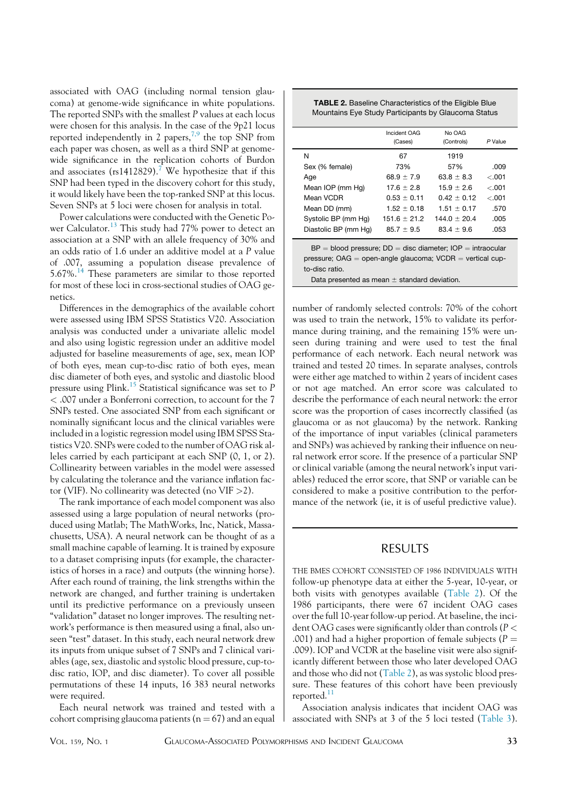associated with OAG (including normal tension glaucoma) at genome-wide significance in white populations. The reported SNPs with the smallest P values at each locus were chosen for this analysis. In the case of the 9p21 locus reported independently in 2 papers,  $7.9$  the top SNP from each paper was chosen, as well as a third SNP at genomewide significance in the replication cohorts of Burdon and associates ( $rs1412829$ ).<sup>7</sup> We hypothesize that if this SNP had been typed in the discovery cohort for this study, it would likely have been the top-ranked SNP at this locus. Seven SNPs at 5 loci were chosen for analysis in total.

Power calculations were conducted with the Genetic Power Calculator.<sup>13</sup> This study had 77% power to detect an association at a SNP with an allele frequency of 30% and an odds ratio of 1.6 under an additive model at a P value of .007, assuming a population disease prevalence of  $5.67\%$ .<sup>14</sup> These parameters are similar to those reported for most of these loci in cross-sectional studies of OAG genetics.

Differences in the demographics of the available cohort were assessed using IBM SPSS Statistics V20. Association analysis was conducted under a univariate allelic model and also using logistic regression under an additive model adjusted for baseline measurements of age, sex, mean IOP of both eyes, mean cup-to-disc ratio of both eyes, mean disc diameter of both eyes, and systolic and diastolic blood pressure using  $Plink.<sup>15</sup>$  Statistical significance was set to  $P$ < .007 under a Bonferroni correction, to account for the 7 SNPs tested. One associated SNP from each significant or nominally significant locus and the clinical variables were included in a logistic regression model using IBM SPSS Statistics V20. SNPs were coded to the number of OAG risk alleles carried by each participant at each SNP (0, 1, or 2). Collinearity between variables in the model were assessed by calculating the tolerance and the variance inflation factor (VIF). No collinearity was detected (no VIF >2).

The rank importance of each model component was also assessed using a large population of neural networks (produced using Matlab; The MathWorks, Inc, Natick, Massachusetts, USA). A neural network can be thought of as a small machine capable of learning. It is trained by exposure to a dataset comprising inputs (for example, the characteristics of horses in a race) and outputs (the winning horse). After each round of training, the link strengths within the network are changed, and further training is undertaken until its predictive performance on a previously unseen ''validation'' dataset no longer improves. The resulting network's performance is then measured using a final, also unseen "test" dataset. In this study, each neural network drew its inputs from unique subset of 7 SNPs and 7 clinical variables (age, sex, diastolic and systolic blood pressure, cup-todisc ratio, IOP, and disc diameter). To cover all possible permutations of these 14 inputs, 16 383 neural networks were required.

Each neural network was trained and tested with a cohort comprising glaucoma patients ( $n = 67$ ) and an equal

| <b>TABLE 2.</b> Baseline Characteristics of the Eligible Blue |
|---------------------------------------------------------------|
| Mountains Eye Study Participants by Glaucoma Status           |

|                      | Incident OAG<br>(Cases) | No OAG<br>(Controls) | P Value |  |
|----------------------|-------------------------|----------------------|---------|--|
| N                    | 67                      | 1919                 |         |  |
| Sex (% female)       | 73%                     | 57%                  | .009    |  |
| Age                  | $68.9 \pm 7.9$          | $63.8 + 8.3$         | $-.001$ |  |
| Mean IOP (mm Hg)     | $17.6 + 2.8$            | $15.9 \pm 2.6$       | $-.001$ |  |
| Mean VCDR            | $0.53 + 0.11$           | $0.42 + 0.12$        | $-.001$ |  |
| Mean DD (mm)         | $1.52 + 0.18$           | $1.51 + 0.17$        | .570    |  |
| Systolic BP (mm Hg)  | $151.6 + 21.2$          | $144.0 + 20.4$       | .005    |  |
| Diastolic BP (mm Hg) | $85.7 \pm 9.5$          | $83.4 + 9.6$         | .053    |  |
|                      |                         |                      |         |  |

 $BP = blood pressure$ ;  $DD = disc$  diameter;  $IOP = intraocular$ pressure; OAG = open-angle glaucoma;  $VCDR$  = vertical cupto-disc ratio.

Data presented as mean  $\pm$  standard deviation.

number of randomly selected controls: 70% of the cohort was used to train the network, 15% to validate its performance during training, and the remaining 15% were unseen during training and were used to test the final performance of each network. Each neural network was trained and tested 20 times. In separate analyses, controls were either age matched to within 2 years of incident cases or not age matched. An error score was calculated to describe the performance of each neural network: the error score was the proportion of cases incorrectly classified (as glaucoma or as not glaucoma) by the network. Ranking of the importance of input variables (clinical parameters and SNPs) was achieved by ranking their influence on neural network error score. If the presence of a particular SNP or clinical variable (among the neural network's input variables) reduced the error score, that SNP or variable can be considered to make a positive contribution to the performance of the network (ie, it is of useful predictive value).

### **RESULTS**

THE BMES COHORT CONSISTED OF 1986 INDIVIDUALS WITH follow-up phenotype data at either the 5-year, 10-year, or both visits with genotypes available (Table 2). Of the 1986 participants, there were 67 incident OAG cases over the full 10-year follow-up period. At baseline, the incident OAG cases were significantly older than controls (P < .001) and had a higher proportion of female subjects ( $P =$ .009). IOP and VCDR at the baseline visit were also significantly different between those who later developed OAG and those who did not (Table 2), as was systolic blood pressure. These features of this cohort have been previously reported.<sup>11</sup>

Association analysis indicates that incident OAG was associated with SNPs at 3 of the 5 loci tested (Table 3).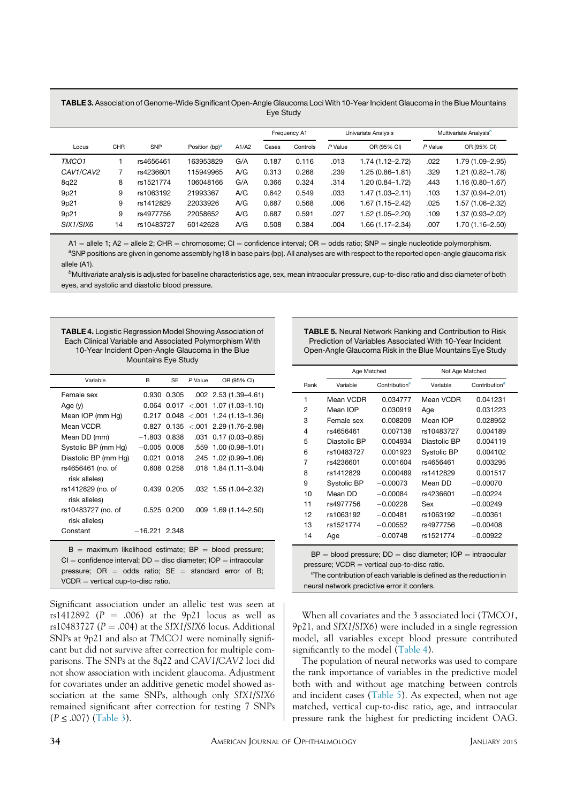TABLE 3. Association of Genome-Wide Significant Open-Angle Glaucoma Loci With 10-Year Incident Glaucoma in the Blue Mountains Eye Study

|           |            |            |                            |       | Frequency A1 |          | Univariate Analysis |                  | Multivariate Analysis <sup>b</sup> |                     |
|-----------|------------|------------|----------------------------|-------|--------------|----------|---------------------|------------------|------------------------------------|---------------------|
| Locus     | <b>CHR</b> | <b>SNP</b> | Position (bp) <sup>a</sup> | A1/A2 | Cases        | Controls | P Value             | OR (95% CI)      | P Value                            | OR (95% CI)         |
| TMCO1     |            | rs4656461  | 163953829                  | G/A   | 0.187        | 0.116    | .013                | 1.74 (1.12–2.72) | .022                               | $1.79(1.09 - 2.95)$ |
| CAV1/CAV2 |            | rs4236601  | 115949965                  | A/G   | 0.313        | 0.268    | .239                | 1.25 (0.86–1.81) | .329                               | $1.21(0.82 - 1.78)$ |
| 8q22      | 8          | rs1521774  | 106048166                  | G/A   | 0.366        | 0.324    | .314                | 1.20 (0.84-1.72) | .443                               | $1.16(0.80 - 1.67)$ |
| 9p21      | 9          | rs1063192  | 21993367                   | A/G   | 0.642        | 0.549    | .033                | 1.47 (1.03–2.11) | .103                               | $1.37(0.94 - 2.01)$ |
| 9p21      | 9          | rs1412829  | 22033926                   | A/G   | 0.687        | 0.568    | .006                | 1.67 (1.15–2.42) | .025                               | $1.57(1.06 - 2.32)$ |
| 9p21      | 9          | rs4977756  | 22058652                   | A/G   | 0.687        | 0.591    | .027                | 1.52 (1.05-2.20) | .109                               | 1.37 (0.93-2.02)    |
| SIX1/SIX6 | 14         | rs10483727 | 60142628                   | A/G   | 0.508        | 0.384    | .004                | 1.66 (1.17–2.34) | .007                               | $1.70(1.16 - 2.50)$ |

 $A1 =$  allele 1; A2 = allele 2; CHR = chromosome; CI = confidence interval; OR = odds ratio; SNP = single nucleotide polymorphism. *a* SNP positions are given in genome assembly hg18 in base pairs (bp). All analyses are with respect to the reported open-angle glaucoma risk

allele (A1).

*b* Multivariate analysis is adjusted for baseline characteristics age, sex, mean intraocular pressure, cup-to-disc ratio and disc diameter of both eyes, and systolic and diastolic blood pressure.

TABLE 4. Logistic Regression Model Showing Association of Each Clinical Variable and Associated Polymorphism With 10-Year Incident Open-Angle Glaucoma in the Blue Mountains Eye Study

| Variable             | в               | <b>SE</b>   | P Value  | OR (95% CI)                                |
|----------------------|-----------------|-------------|----------|--------------------------------------------|
| Female sex           | 0.930           | 0.305       |          | .002 2.53 (1.39–4.61)                      |
| Age (y)              | 0.064           | 0.017       |          | $\langle .001 \; 1.07 \; (1.03 - 1.10) \;$ |
| Mean IOP (mm Hg)     | 0.217           | 0.048       | < .001   | 1.24 (1.13–1.36)                           |
| Mean VCDR            | 0.827           | 0.135       | $<$ .001 | $2.29(1.76 - 2.98)$                        |
| Mean DD (mm)         | $-1.803$        | 0.838       | .031     | $0.17(0.03 - 0.85)$                        |
| Systolic BP (mm Hg)  | $-0.005$        | 0.008       |          | .559 1.00 (0.98-1.01)                      |
| Diastolic BP (mm Hg) | 0.021           | 0.018       |          | .245 1.02 (0.99–1.06)                      |
| rs4656461 (no. of    |                 | 0.608 0.258 |          | .018 1.84 (1.11–3.04)                      |
| risk alleles)        |                 |             |          |                                            |
| rs1412829 (no. of    |                 | 0.439 0.205 |          | .032 1.55 (1.04–2.32)                      |
| risk alleles)        |                 |             |          |                                            |
| rs10483727 (no. of   |                 | 0.525 0.200 | .009     | $1.69(1.14 - 2.50)$                        |
| risk alleles)        |                 |             |          |                                            |
| Constant             | $-16.221$ 2.348 |             |          |                                            |
|                      |                 |             |          |                                            |

 $B =$  maximum likelihood estimate; BP = blood pressure;  $Cl =$  confidence interval:  $DD =$  disc diameter:  $IOP =$  intraocular pressure:  $OR = odds ratio$ :  $SE = standard error of B$ ;  $VCDR = vertical cup-to-disc ratio.$ 

Significant association under an allelic test was seen at rs1412892 ( $P = .006$ ) at the 9p21 locus as well as rs10483727 ( $P = .004$ ) at the SIX1/SIX6 locus. Additional SNPs at 9p21 and also at TMCO1 were nominally significant but did not survive after correction for multiple comparisons. The SNPs at the 8q22 and CAV1/CAV2 loci did not show association with incident glaucoma. Adjustment for covariates under an additive genetic model showed association at the same SNPs, although only SIX1/SIX6 remained significant after correction for testing 7 SNPs  $(P \le .007)$  (Table 3).

TABLE 5. Neural Network Ranking and Contribution to Risk Prediction of Variables Associated With 10-Year Incident Open-Angle Glaucoma Risk in the Blue Mountains Eye Study

| $BP = blood pressure$ ; $DD = disc$ diameter; $IOP = intraocular$<br>pressure; $VCDR = vertical cup-to-disc ratio$ .<br><sup>a</sup> The contribution of each variable is defined as the reduction in |  |  |  |  |  |  |  |
|-------------------------------------------------------------------------------------------------------------------------------------------------------------------------------------------------------|--|--|--|--|--|--|--|
|                                                                                                                                                                                                       |  |  |  |  |  |  |  |
|                                                                                                                                                                                                       |  |  |  |  |  |  |  |

When all covariates and the 3 associated loci (TMCO1, 9p21, and SIX1/SIX6) were included in a single regression model, all variables except blood pressure contributed significantly to the model (Table 4).

The population of neural networks was used to compare the rank importance of variables in the predictive model both with and without age matching between controls and incident cases (Table 5). As expected, when not age matched, vertical cup-to-disc ratio, age, and intraocular pressure rank the highest for predicting incident OAG.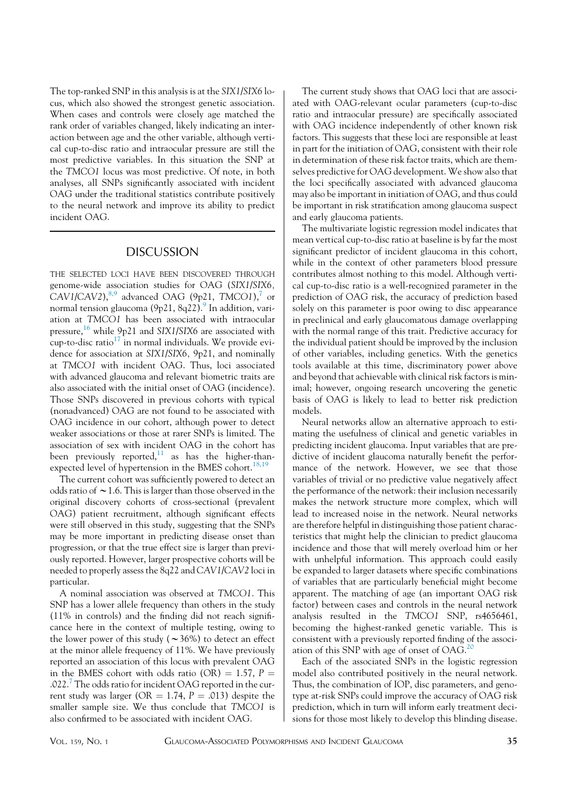The top-ranked SNP in this analysis is at the SIX1/SIX6 locus, which also showed the strongest genetic association. When cases and controls were closely age matched the rank order of variables changed, likely indicating an interaction between age and the other variable, although vertical cup-to-disc ratio and intraocular pressure are still the most predictive variables. In this situation the SNP at the TMCO1 locus was most predictive. Of note, in both analyses, all SNPs significantly associated with incident OAG under the traditional statistics contribute positively to the neural network and improve its ability to predict incident OAG.

#### DISCUSSION

THE SELECTED LOCI HAVE BEEN DISCOVERED THROUGH genome-wide association studies for OAG (SIX1/SIX6, CAV1/CAV2), $8,9$  advanced OAG (9p21, TMCO1),<sup>7</sup> or normal tension glaucoma  $(9p21, 8q22)^9$  In addition, variation at TMCO1 has been associated with intraocular pressure,<sup>16</sup> while 9p21 and SIX1/SIX6 are associated with cup-to-disc ratio $17$  in normal individuals. We provide evidence for association at SIX1/SIX6, 9p21, and nominally at TMCO1 with incident OAG. Thus, loci associated with advanced glaucoma and relevant biometric traits are also associated with the initial onset of OAG (incidence). Those SNPs discovered in previous cohorts with typical (nonadvanced) OAG are not found to be associated with OAG incidence in our cohort, although power to detect weaker associations or those at rarer SNPs is limited. The association of sex with incident OAG in the cohort has been previously reported, $11$  as has the higher-thanexpected level of hypertension in the BMES cohort.<sup>18,19</sup>

The current cohort was sufficiently powered to detect an odds ratio of  $\sim$  1.6. This is larger than those observed in the original discovery cohorts of cross-sectional (prevalent OAG) patient recruitment, although significant effects were still observed in this study, suggesting that the SNPs may be more important in predicting disease onset than progression, or that the true effect size is larger than previously reported. However, larger prospective cohorts will be needed to properly assess the 8q22 and CAV1/CAV2 loci in particular.

A nominal association was observed at TMCO1. This SNP has a lower allele frequency than others in the study (11% in controls) and the finding did not reach significance here in the context of multiple testing, owing to the lower power of this study ( $\sim$ 36%) to detect an effect at the minor allele frequency of 11%. We have previously reported an association of this locus with prevalent OAG in the BMES cohort with odds ratio (OR) = 1.57, P = .022.<sup>7</sup> The odds ratio for incident OAG reported in the current study was larger (OR = 1.74,  $P = .013$ ) despite the smaller sample size. We thus conclude that TMCO1 is also confirmed to be associated with incident OAG.

The current study shows that OAG loci that are associated with OAG-relevant ocular parameters (cup-to-disc ratio and intraocular pressure) are specifically associated with OAG incidence independently of other known risk factors. This suggests that these loci are responsible at least in part for the initiation of OAG, consistent with their role in determination of these risk factor traits, which are themselves predictive for OAG development. We show also that the loci specifically associated with advanced glaucoma may also be important in initiation of OAG, and thus could be important in risk stratification among glaucoma suspect and early glaucoma patients.

The multivariate logistic regression model indicates that mean vertical cup-to-disc ratio at baseline is by far the most significant predictor of incident glaucoma in this cohort, while in the context of other parameters blood pressure contributes almost nothing to this model. Although vertical cup-to-disc ratio is a well-recognized parameter in the prediction of OAG risk, the accuracy of prediction based solely on this parameter is poor owing to disc appearance in preclinical and early glaucomatous damage overlapping with the normal range of this trait. Predictive accuracy for the individual patient should be improved by the inclusion of other variables, including genetics. With the genetics tools available at this time, discriminatory power above and beyond that achievable with clinical risk factors is minimal; however, ongoing research uncovering the genetic basis of OAG is likely to lead to better risk prediction models.

Neural networks allow an alternative approach to estimating the usefulness of clinical and genetic variables in predicting incident glaucoma. Input variables that are predictive of incident glaucoma naturally benefit the performance of the network. However, we see that those variables of trivial or no predictive value negatively affect the performance of the network: their inclusion necessarily makes the network structure more complex, which will lead to increased noise in the network. Neural networks are therefore helpful in distinguishing those patient characteristics that might help the clinician to predict glaucoma incidence and those that will merely overload him or her with unhelpful information. This approach could easily be expanded to larger datasets where specific combinations of variables that are particularly beneficial might become apparent. The matching of age (an important OAG risk factor) between cases and controls in the neural network analysis resulted in the TMCO1 SNP, rs4656461, becoming the highest-ranked genetic variable. This is consistent with a previously reported finding of the association of this SNP with age of onset of  $OAG<sup>20</sup>$ 

Each of the associated SNPs in the logistic regression model also contributed positively in the neural network. Thus, the combination of IOP, disc parameters, and genotype at-risk SNPs could improve the accuracy of OAG risk prediction, which in turn will inform early treatment decisions for those most likely to develop this blinding disease.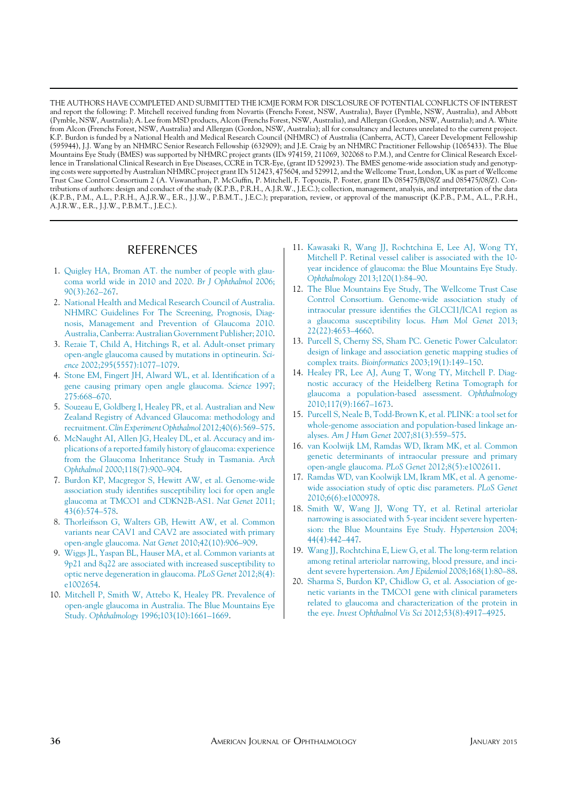THE AUTHORS HAVE COMPLETED AND SUBMITTED THE ICMJE FORM FOR DISCLOSURE OF POTENTIAL CONFLICTS OF INTEREST and report the following: P. Mitchell received funding from Novartis (Frenchs Forest, NSW, Australia), Bayer (Pymble, NSW, Australia), and Abbott (Pymble, NSW, Australia); A. Lee from MSD products, Alcon (Frenchs Forest, NSW, Australia), and Allergan (Gordon, NSW, Australia); and A. White from Alcon (Frenchs Forest, NSW, Australia) and Allergan (Gordon, NSW, Australia); all for consultancy and lectures unrelated to the current project. K.P. Burdon is funded by a National Health and Medical Research Council (NHMRC) of Australia (Canberra, ACT), Career Development Fellowship (595944), J.J. Wang by an NHMRC Senior Research Fellowship (632909); and J.E. Craig by an NHMRC Practitioner Fellowship (1065433). The Blue Mountains Eye Study (BMES) was supported by NHMRC project grants (IDs 974159, 211069, 302068 to P.M.), and Centre for Clinical Research Excellence in Translational Clinical Research in Eye Diseases, CCRE in TCR-Eye, (grant ID 529923). The BMES genome-wide association study and genotyping costs were supported by Australian NHMRC project grant IDs 512423, 475604, and 529912, and the Wellcome Trust, London, UK as part of Wellcome Trust Case Control Consortium 2 (A. Viswanathan, P. McGuffin, P. Mitchell, F. Topouzis, P. Foster, grant IDs 085475/B/08/Z and 085475/08/Z). Contributions of authors: design and conduct of the study (K.P.B., P.R.H., A.J.R.W., J.E.C.); collection, management, analysis, and interpretation of the data (K.P.B., P.M., A.L., P.R.H., A.J.R.W., E.R., J.J.W., P.B.M.T., J.E.C.); preparation, review, or approval of the manuscript (K.P.B., P.M., A.L., P.R.H., A.J.R.W., E.R., J.J.W., P.B.M.T., J.E.C.).

### REFERENCES

- 1. Quigley HA, Broman AT. the number of people with glaucoma world wide in 2010 and 2020. Br J Ophthalmol 2006; 90(3):262–267.
- 2. National Health and Medical Research Council of Australia. NHMRC Guidelines For The Screening, Prognosis, Diagnosis, Management and Prevention of Glaucoma 2010. Australia, Canberra: Australian Government Publisher; 2010.
- 3. Rezaie T, Child A, Hitchings R, et al. Adult-onset primary open-angle glaucoma caused by mutations in optineurin. Science 2002;295(5557):1077–1079.
- 4. Stone EM, Fingert JH, Alward WL, et al. Identification of a gene causing primary open angle glaucoma. Science 1997; 275:668–670.
- 5. Souzeau E, Goldberg I, Healey PR, et al. Australian and New Zealand Registry of Advanced Glaucoma: methodology and recruitment. Clin Experiment Ophthalmol 2012;40(6):569–575.
- 6. McNaught AI, Allen JG, Healey DL, et al. Accuracy and implications of a reported family history of glaucoma: experience from the Glaucoma Inheritance Study in Tasmania. Arch Ophthalmol 2000;118(7):900–904.
- 7. Burdon KP, Macgregor S, Hewitt AW, et al. Genome-wide association study identifies susceptibility loci for open angle glaucoma at TMCO1 and CDKN2B-AS1. Nat Genet 2011; 43(6):574–578.
- 8. Thorleifsson G, Walters GB, Hewitt AW, et al. Common variants near CAV1 and CAV2 are associated with primary open-angle glaucoma. Nat Genet 2010;42(10):906–909.
- 9. Wiggs JL, Yaspan BL, Hauser MA, et al. Common variants at 9p21 and 8q22 are associated with increased susceptibility to optic nerve degeneration in glaucoma. PLoS Genet 2012;8(4): e1002654.
- 10. Mitchell P, Smith W, Attebo K, Healey PR. Prevalence of open-angle glaucoma in Australia. The Blue Mountains Eye Study. Ophthalmology 1996;103(10):1661–1669.
- 11. Kawasaki R, Wang JJ, Rochtchina E, Lee AJ, Wong TY, Mitchell P. Retinal vessel caliber is associated with the 10 year incidence of glaucoma: the Blue Mountains Eye Study. Ophthalmology 2013;120(1):84–90.
- 12. The Blue Mountains Eye Study, The Wellcome Trust Case Control Consortium. Genome-wide association study of intraocular pressure identifies the GLCCI1/ICA1 region as a glaucoma susceptibility locus. Hum Mol Genet 2013; 22(22):4653–4660.
- 13. Purcell S, Cherny SS, Sham PC. Genetic Power Calculator: design of linkage and association genetic mapping studies of complex traits. Bioinformatics 2003;19(1):149–150.
- 14. Healey PR, Lee AJ, Aung T, Wong TY, Mitchell P. Diagnostic accuracy of the Heidelberg Retina Tomograph for glaucoma a population-based assessment. Ophthalmology 2010;117(9):1667–1673.
- 15. Purcell S, Neale B, Todd-Brown K, et al. PLINK: a tool set for whole-genome association and population-based linkage analyses. Am J Hum Genet 2007;81(3):559–575.
- 16. van Koolwijk LM, Ramdas WD, Ikram MK, et al. Common genetic determinants of intraocular pressure and primary open-angle glaucoma. PLoS Genet 2012;8(5):e1002611.
- 17. Ramdas WD, van Koolwijk LM, Ikram MK, et al. A genomewide association study of optic disc parameters. PLoS Genet 2010;6(6):e1000978.
- 18. Smith W, Wang JJ, Wong TY, et al. Retinal arteriolar narrowing is associated with 5-year incident severe hypertension: the Blue Mountains Eye Study. Hypertension 2004; 44(4):442–447.
- 19. Wang JJ, Rochtchina E, Liew G, et al. The long-term relation among retinal arteriolar narrowing, blood pressure, and incident severe hypertension. Am J Epidemiol 2008;168(1):80–88.
- 20. Sharma S, Burdon KP, Chidlow G, et al. Association of genetic variants in the TMCO1 gene with clinical parameters related to glaucoma and characterization of the protein in the eye. Invest Ophthalmol Vis Sci 2012;53(8):4917–4925.